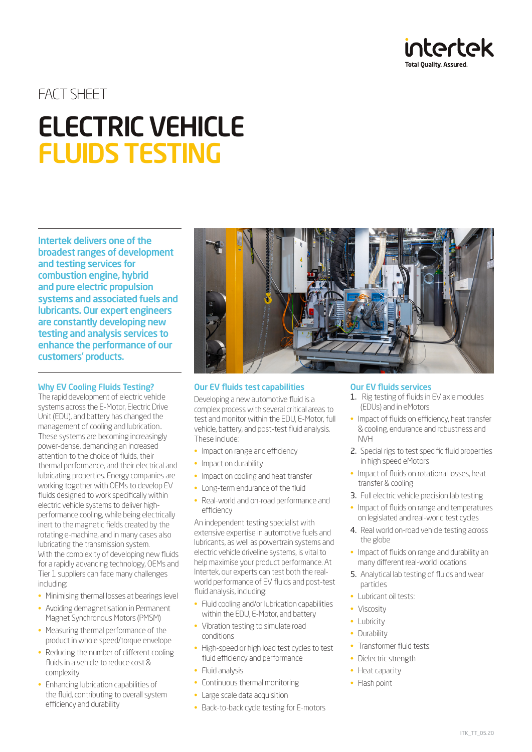

# FACT SHEET

# ELECTRIC VEHICLE FLUIDS TESTING

Intertek delivers one of the broadest ranges of development and testing services for combustion engine, hybrid and pure electric propulsion systems and associated fuels and lubricants. Our expert engineers are constantly developing new testing and analysis services to enhance the performance of our customers' products.

## Why EV Cooling Fluids Testing?

The rapid development of electric vehicle systems across the E-Motor, Electric Drive Unit (EDU), and battery has changed the management of cooling and lubrication.. These systems are becoming increasingly power-dense, demanding an increased attention to the choice of fluids, their thermal performance, and their electrical and lubricating properties. Energy companies are working together with OEMs to develop EV fluids designed to work specifically within electric vehicle systems to deliver highperformance cooling, while being electrically inert to the magnetic fields created by the rotating e-machine, and in many cases also lubricating the transmission system. With the complexity of developing new fluids for a rapidly advancing technology, OEMs and Tier 1 suppliers can face many challenges including:

- Minimising thermal losses at bearings level
- Avoiding demagnetisation in Permanent Magnet Synchronous Motors (PMSM)
- Measuring thermal performance of the product in whole speed/torque envelope
- Reducing the number of different cooling fluids in a vehicle to reduce cost & complexity
- Enhancing lubrication capabilities of the fluid, contributing to overall system efficiency and durability



### Our EV fluids test capabilities

Developing a new automotive fluid is a complex process with several critical areas to test and monitor within the EDU, E-Motor, full vehicle, battery, and post-test fluid analysis. These include:

- Impact on range and efficiency
- Impact on durability
- Impact on cooling and heat transfer
- Long-term endurance of the fluid
- Real-world and on-road performance and efficiency

An independent testing specialist with extensive expertise in automotive fuels and lubricants, as well as powertrain systems and electric vehicle driveline systems, is vital to help maximise your product performance. At Intertek, our experts can test both the realworld performance of EV fluids and post-test fluid analysis, including:

- Fluid cooling and/or lubrication capabilities within the EDU, E-Motor, and battery
- Vibration testing to simulate road conditions
- High-speed or high load test cycles to test fluid efficiency and performance
- Fluid analysis
- Continuous thermal monitoring
- Large scale data acquisition
- Back-to-back cycle testing for E-motors

## Our EV fluids services

- 1. Rig testing of fluids in EV axle modules (EDUs) and in eMotors
- Impact of fluids on efficiency, heat transfer & cooling, endurance and robustness and NVH
- 2. Special rigs to test specific fluid properties in high speed eMotors
- Impact of fluids on rotational losses, heat transfer & cooling
- 3. Full electric vehicle precision lab testing
- Impact of fluids on range and temperatures on legislated and real-world test cycles
- 4. Real world on-road vehicle testing across the globe
- Impact of fluids on range and durability an many different real-world locations
- 5. Analytical lab testing of fluids and wear particles
- Lubricant oil tests:
- Viscosity
- Lubricity
- Durability
- Transformer fluid tests:
- Dielectric strength
- Heat capacity
- Flash point